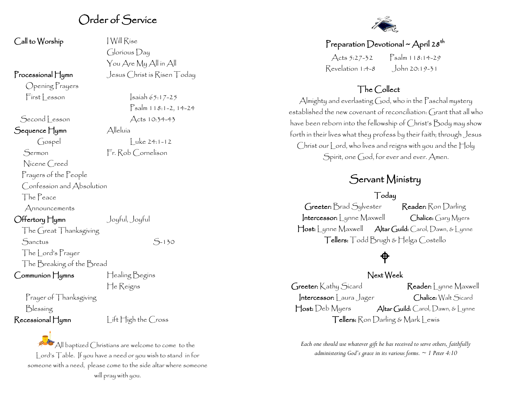### Order of Service

| Call to Worship                                    | Will Ríse                         |
|----------------------------------------------------|-----------------------------------|
|                                                    | $\bigcirc$ loríous $\bigcirc$ ay  |
|                                                    | You Are My All in All             |
| $\Gamma$ rocessional $\mathop{\Box} \nolimits$ ymn | Jesus Christ is Risen 7           |
| Opening Prayers                                    |                                   |
| First Lesson                                       | $s$ aiah 65:17-25                 |
|                                                    | $\beta$ salm 118:1-2,             |
| Second Lesson                                      | Acts 10:34-43                     |
| Sequence Hymn                                      | Alleluía                          |
| Gospel                                             | $Luke 24:1-12$                    |
| Sermon                                             | Fr. Rob Cornelison                |
| Nicene Creed                                       |                                   |
| Prayers of the People                              |                                   |
| Confession and Absolution                          |                                   |
| The Peace                                          |                                   |
| $A$ nnouncements                                   |                                   |
| ○ffertory Hymn                                     | Joyful, Joyful                    |
| The Great Thanksgiving                             |                                   |
| Sanctus                                            | 5-130                             |
| The Lord's Prayer                                  |                                   |
| The Breaking of the Bread                          |                                   |
| $\bigcirc$ ommunion $\mathcal{H}$ ymns             | Healing Begins                    |
|                                                    | He Reigns                         |
| Prayer of Thanksgiving                             |                                   |
| Blessing                                           |                                   |
| Recessional Hymn                                   | $L$ ift $\sqcap$ igh the $C$ ross |

 $A$ ll en Today

 $-2, 14-24$ 

#### Preparation Devotional ~ April 28<sup>th</sup>

Acts 5:27-32 Psalm 118:14-29 Revelation 1:4-8 John 20:19-31

### The Collect

Almighty and everlasting God, who in the Paschal mystery established the new covenant of reconciliation: Grant that all who have been reborn into the fellowship of Christ's Body may show forth in their lives what they profess by their faith; through Jesus Christ our Lord, who lives and reigns with you and the Holy Spirit, one God, for ever and ever. Amen.

## Servant Ministry

#### Today

Greeter: Brad Sylvester Reader: Ron Darling Intercessor: Lynne Maxwell Chalice: Gary Myers Host: Lynne Maxwell Altar Guild: Carol, Dawn, & Lynne Tellers: Todd Brugh & Helga Costello

### $\bigoplus$

#### Next Week

Greeter: Kathy Sicard Reader: Lynne Maxwell Intercessor: Laura Jager Chalice: Walt Sicard Host: Deb Myers Altar Guild: Carol, Dawn, & Lynne Tellers: Ron Darling & Mark Lewis

*Each one should use whatever gift he has received to serve others, faithfully administering God's grace in its various forms. ~ 1 Peter 4:10*

All baptized Christians are welcome to come to the Lord's Table. If you have a need or you wish to stand in for someone with a need, please come to the side altar where someone will pray with you.